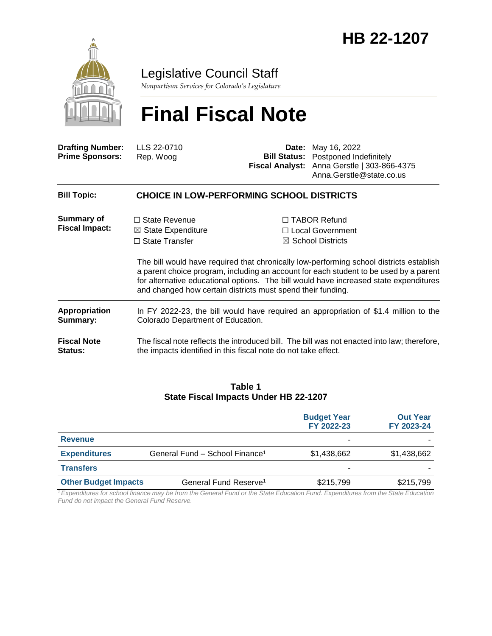

# Legislative Council Staff

*Nonpartisan Services for Colorado's Legislature*

# **Final Fiscal Note**

| <b>Drafting Number:</b><br><b>Prime Sponsors:</b> | LLS 22-0710<br>Rep. Woog                                                                                                                                                                                                                                                                                                                 |  | <b>Date:</b> May 16, 2022<br><b>Bill Status:</b> Postponed Indefinitely<br>Fiscal Analyst: Anna Gerstle   303-866-4375<br>Anna.Gerstle@state.co.us |  |  |  |
|---------------------------------------------------|------------------------------------------------------------------------------------------------------------------------------------------------------------------------------------------------------------------------------------------------------------------------------------------------------------------------------------------|--|----------------------------------------------------------------------------------------------------------------------------------------------------|--|--|--|
| <b>Bill Topic:</b>                                | <b>CHOICE IN LOW-PERFORMING SCHOOL DISTRICTS</b>                                                                                                                                                                                                                                                                                         |  |                                                                                                                                                    |  |  |  |
| Summary of<br><b>Fiscal Impact:</b>               | $\Box$ State Revenue                                                                                                                                                                                                                                                                                                                     |  | $\Box$ TABOR Refund                                                                                                                                |  |  |  |
|                                                   | $\boxtimes$ State Expenditure                                                                                                                                                                                                                                                                                                            |  | □ Local Government                                                                                                                                 |  |  |  |
|                                                   | $\Box$ State Transfer                                                                                                                                                                                                                                                                                                                    |  | $\boxtimes$ School Districts                                                                                                                       |  |  |  |
|                                                   | The bill would have required that chronically low-performing school districts establish<br>a parent choice program, including an account for each student to be used by a parent<br>for alternative educational options. The bill would have increased state expenditures<br>and changed how certain districts must spend their funding. |  |                                                                                                                                                    |  |  |  |
| Appropriation<br>Summary:                         | Colorado Department of Education.                                                                                                                                                                                                                                                                                                        |  | In FY 2022-23, the bill would have required an appropriation of \$1.4 million to the                                                               |  |  |  |

**Fiscal Note Status:** The fiscal note reflects the introduced bill. The bill was not enacted into law; therefore, the impacts identified in this fiscal note do not take effect.

#### **Table 1 State Fiscal Impacts Under HB 22-1207**

|                             |                                            | <b>Budget Year</b><br>FY 2022-23 | <b>Out Year</b><br>FY 2023-24 |
|-----------------------------|--------------------------------------------|----------------------------------|-------------------------------|
| <b>Revenue</b>              |                                            | ۰                                |                               |
| <b>Expenditures</b>         | General Fund - School Finance <sup>1</sup> | \$1,438,662                      | \$1,438,662                   |
| <b>Transfers</b>            |                                            |                                  |                               |
| <b>Other Budget Impacts</b> | General Fund Reserve <sup>1</sup>          | \$215,799                        | \$215,799                     |

*<sup>1</sup>Expenditures for school finance may be from the General Fund or the State Education Fund. Expenditures from the State Education Fund do not impact the General Fund Reserve.*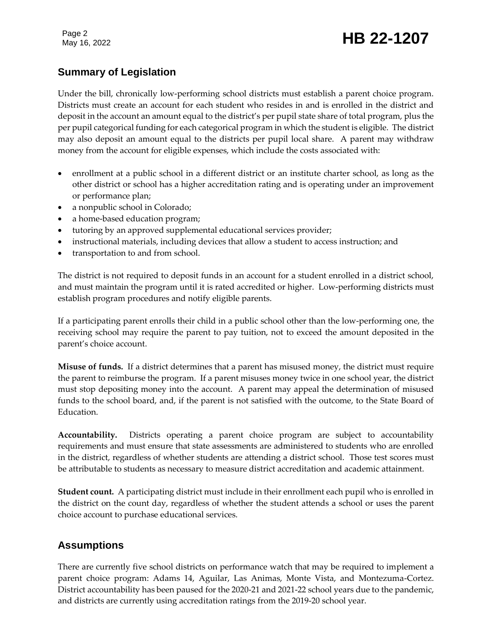# Page 2<br>May 16, 2022 **HB 22-1207**

# **Summary of Legislation**

Under the bill, chronically low-performing school districts must establish a parent choice program. Districts must create an account for each student who resides in and is enrolled in the district and deposit in the account an amount equal to the district's per pupil state share of total program, plus the per pupil categorical funding for each categorical program in which the student is eligible. The district may also deposit an amount equal to the districts per pupil local share. A parent may withdraw money from the account for eligible expenses, which include the costs associated with:

- enrollment at a public school in a different district or an institute charter school, as long as the other district or school has a higher accreditation rating and is operating under an improvement or performance plan;
- a nonpublic school in Colorado;
- a home-based education program;
- tutoring by an approved supplemental educational services provider;
- instructional materials, including devices that allow a student to access instruction; and
- transportation to and from school.

The district is not required to deposit funds in an account for a student enrolled in a district school, and must maintain the program until it is rated accredited or higher. Low-performing districts must establish program procedures and notify eligible parents.

If a participating parent enrolls their child in a public school other than the low-performing one, the receiving school may require the parent to pay tuition, not to exceed the amount deposited in the parent's choice account.

**Misuse of funds.** If a district determines that a parent has misused money, the district must require the parent to reimburse the program. If a parent misuses money twice in one school year, the district must stop depositing money into the account. A parent may appeal the determination of misused funds to the school board, and, if the parent is not satisfied with the outcome, to the State Board of Education.

**Accountability.** Districts operating a parent choice program are subject to accountability requirements and must ensure that state assessments are administered to students who are enrolled in the district, regardless of whether students are attending a district school. Those test scores must be attributable to students as necessary to measure district accreditation and academic attainment.

**Student count.** A participating district must include in their enrollment each pupil who is enrolled in the district on the count day, regardless of whether the student attends a school or uses the parent choice account to purchase educational services.

# **Assumptions**

There are currently five school districts on performance watch that may be required to implement a parent choice program: Adams 14, Aguilar, Las Animas, Monte Vista, and Montezuma-Cortez. District accountability has been paused for the 2020-21 and 2021-22 school years due to the pandemic, and districts are currently using accreditation ratings from the 2019-20 school year.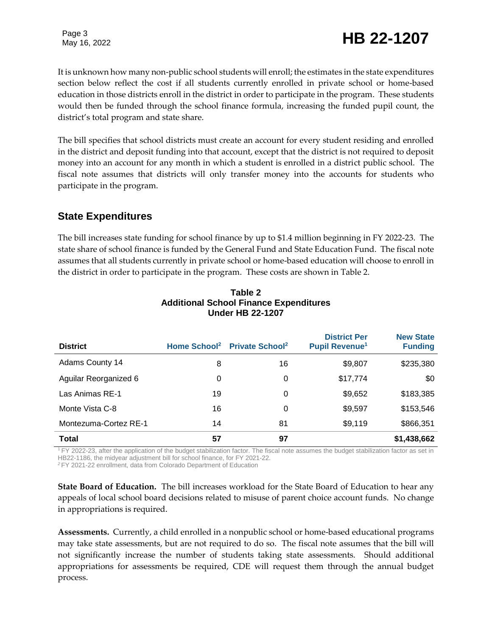# Page 3<br>May 16, 2022 **HB 22-1207**

It is unknown how many non-public school students will enroll; the estimates in the state expenditures section below reflect the cost if all students currently enrolled in private school or home-based education in those districts enroll in the district in order to participate in the program. These students would then be funded through the school finance formula, increasing the funded pupil count, the district's total program and state share.

The bill specifies that school districts must create an account for every student residing and enrolled in the district and deposit funding into that account, except that the district is not required to deposit money into an account for any month in which a student is enrolled in a district public school. The fiscal note assumes that districts will only transfer money into the accounts for students who participate in the program.

#### **State Expenditures**

The bill increases state funding for school finance by up to \$1.4 million beginning in FY 2022-23. The state share of school finance is funded by the General Fund and State Education Fund. The fiscal note assumes that all students currently in private school or home-based education will choose to enroll in the district in order to participate in the program. These costs are shown in Table 2.

| <b>District</b>        | Home School <sup>2</sup> | <b>Private School</b> <sup>2</sup> | <b>District Per</b><br><b>Pupil Revenue<sup>1</sup></b> | <b>New State</b><br><b>Funding</b> |
|------------------------|--------------------------|------------------------------------|---------------------------------------------------------|------------------------------------|
| <b>Adams County 14</b> | 8                        | 16                                 | \$9,807                                                 | \$235,380                          |
| Aguilar Reorganized 6  | 0                        | 0                                  | \$17,774                                                | \$0                                |
| Las Animas RE-1        | 19                       | 0                                  | \$9,652                                                 | \$183,385                          |
| Monte Vista C-8        | 16                       | 0                                  | \$9,597                                                 | \$153,546                          |
| Montezuma-Cortez RE-1  | 14                       | 81                                 | \$9,119                                                 | \$866,351                          |
| Total                  | 57                       | 97                                 |                                                         | \$1,438,662                        |

#### **Table 2 Additional School Finance Expenditures Under HB 22-1207**

<sup>1</sup> FY 2022-23, after the application of the budget stabilization factor. The fiscal note assumes the budget stabilization factor as set in HB22-1186, the midyear adjustment bill for school finance, for FY 2021-22.

*<sup>2</sup>* FY 2021-22 enrollment, data from Colorado Department of Education

**State Board of Education.** The bill increases workload for the State Board of Education to hear any appeals of local school board decisions related to misuse of parent choice account funds. No change in appropriations is required.

**Assessments.** Currently, a child enrolled in a nonpublic school or home-based educational programs may take state assessments, but are not required to do so. The fiscal note assumes that the bill will not significantly increase the number of students taking state assessments. Should additional appropriations for assessments be required, CDE will request them through the annual budget process.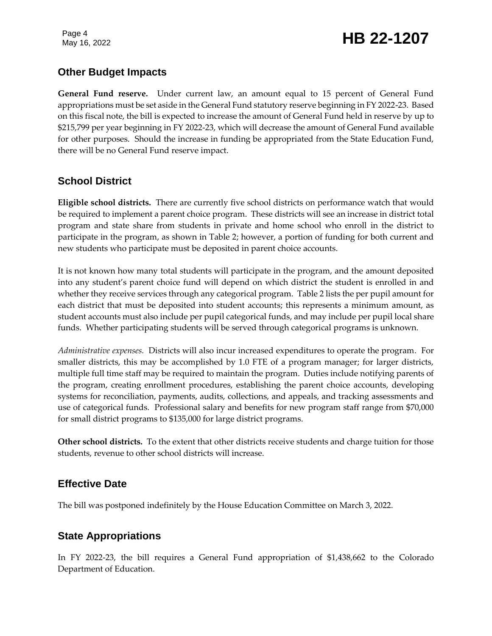# Page 4<br>May 16, 2022 **HB 22-1207**

### **Other Budget Impacts**

**General Fund reserve.** Under current law, an amount equal to 15 percent of General Fund appropriations must be set aside in the General Fund statutory reserve beginning in FY 2022-23. Based on this fiscal note, the bill is expected to increase the amount of General Fund held in reserve by up to \$215,799 per year beginning in FY 2022-23, which will decrease the amount of General Fund available for other purposes. Should the increase in funding be appropriated from the State Education Fund, there will be no General Fund reserve impact.

### **School District**

**Eligible school districts.** There are currently five school districts on performance watch that would be required to implement a parent choice program. These districts will see an increase in district total program and state share from students in private and home school who enroll in the district to participate in the program, as shown in Table 2; however, a portion of funding for both current and new students who participate must be deposited in parent choice accounts.

It is not known how many total students will participate in the program, and the amount deposited into any student's parent choice fund will depend on which district the student is enrolled in and whether they receive services through any categorical program. Table 2 lists the per pupil amount for each district that must be deposited into student accounts; this represents a minimum amount, as student accounts must also include per pupil categorical funds, and may include per pupil local share funds. Whether participating students will be served through categorical programs is unknown.

*Administrative expenses.* Districts will also incur increased expenditures to operate the program. For smaller districts, this may be accomplished by 1.0 FTE of a program manager; for larger districts, multiple full time staff may be required to maintain the program. Duties include notifying parents of the program, creating enrollment procedures, establishing the parent choice accounts, developing systems for reconciliation, payments, audits, collections, and appeals, and tracking assessments and use of categorical funds. Professional salary and benefits for new program staff range from \$70,000 for small district programs to \$135,000 for large district programs.

**Other school districts.** To the extent that other districts receive students and charge tuition for those students, revenue to other school districts will increase.

# **Effective Date**

The bill was postponed indefinitely by the House Education Committee on March 3, 2022.

# **State Appropriations**

In FY 2022-23, the bill requires a General Fund appropriation of \$1,438,662 to the Colorado Department of Education.